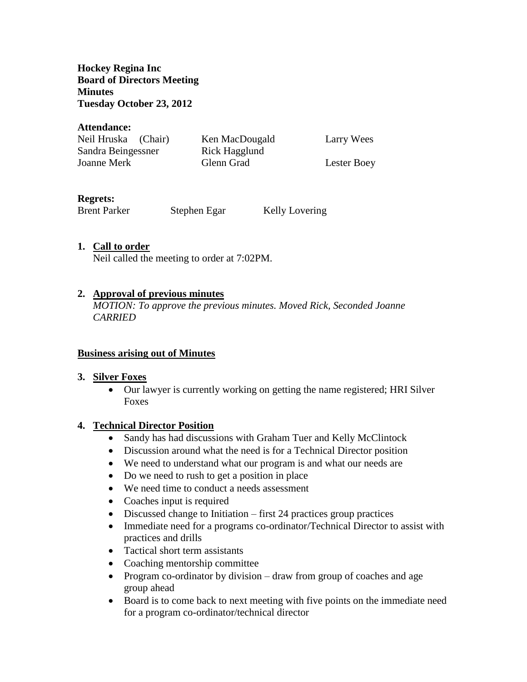**Hockey Regina Inc Board of Directors Meeting Minutes Tuesday October 23, 2012**

#### **Attendance:**

| Neil Hruska (Chair) | Ken MacDougald | Larry Wees  |
|---------------------|----------------|-------------|
| Sandra Beingessner  | Rick Hagglund  |             |
| Joanne Merk         | Glenn Grad     | Lester Boey |

### **Regrets:**

Brent Parker Stephen Egar Kelly Lovering

### **1. Call to order**

Neil called the meeting to order at 7:02PM.

### **2. Approval of previous minutes**

*MOTION: To approve the previous minutes. Moved Rick, Seconded Joanne CARRIED*

#### **Business arising out of Minutes**

#### **3. Silver Foxes**

• Our lawyer is currently working on getting the name registered; HRI Silver Foxes

#### **4. Technical Director Position**

- Sandy has had discussions with Graham Tuer and Kelly McClintock
- Discussion around what the need is for a Technical Director position
- We need to understand what our program is and what our needs are
- Do we need to rush to get a position in place
- We need time to conduct a needs assessment
- Coaches input is required
- Discussed change to Initiation first 24 practices group practices
- Immediate need for a programs co-ordinator/Technical Director to assist with practices and drills
- Tactical short term assistants
- Coaching mentorship committee
- Program co-ordinator by division draw from group of coaches and age group ahead
- Board is to come back to next meeting with five points on the immediate need for a program co-ordinator/technical director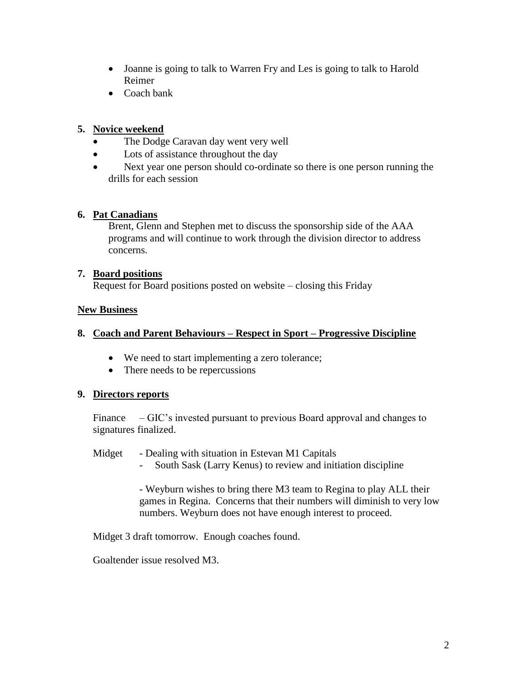- Joanne is going to talk to Warren Fry and Les is going to talk to Harold Reimer
- Coach bank

## **5. Novice weekend**

- The Dodge Caravan day went very well
- Lots of assistance throughout the day
- Next year one person should co-ordinate so there is one person running the drills for each session

### **6. Pat Canadians**

Brent, Glenn and Stephen met to discuss the sponsorship side of the AAA programs and will continue to work through the division director to address concerns.

### **7. Board positions**

Request for Board positions posted on website – closing this Friday

### **New Business**

# **8. Coach and Parent Behaviours – Respect in Sport – Progressive Discipline**

- We need to start implementing a zero tolerance;
- There needs to be repercussions

#### **9. Directors reports**

Finance – GIC's invested pursuant to previous Board approval and changes to signatures finalized.

#### Midget - Dealing with situation in Estevan M1 Capitals

- South Sask (Larry Kenus) to review and initiation discipline

- Weyburn wishes to bring there M3 team to Regina to play ALL their games in Regina. Concerns that their numbers will diminish to very low numbers. Weyburn does not have enough interest to proceed.

Midget 3 draft tomorrow. Enough coaches found.

Goaltender issue resolved M3.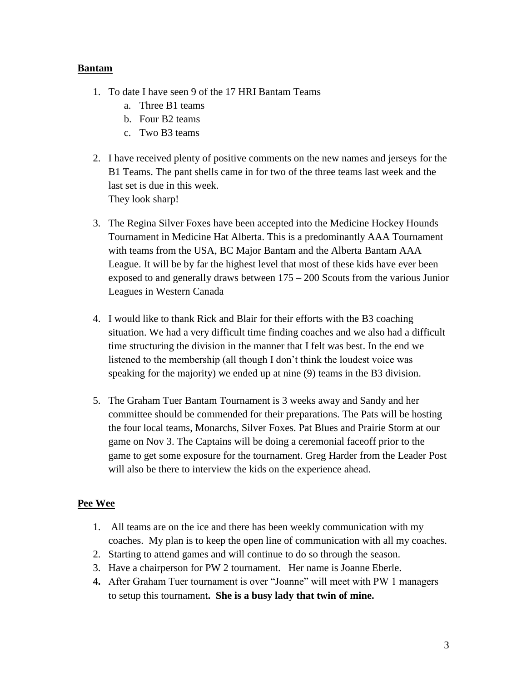## **Bantam**

- 1. To date I have seen 9 of the 17 HRI Bantam Teams
	- a. Three B1 teams
	- b. Four B2 teams
	- c. Two B3 teams
- 2. I have received plenty of positive comments on the new names and jerseys for the B1 Teams. The pant shells came in for two of the three teams last week and the last set is due in this week. They look sharp!
- 3. The Regina Silver Foxes have been accepted into the Medicine Hockey Hounds Tournament in Medicine Hat Alberta. This is a predominantly AAA Tournament with teams from the USA, BC Major Bantam and the Alberta Bantam AAA League. It will be by far the highest level that most of these kids have ever been exposed to and generally draws between 175 – 200 Scouts from the various Junior Leagues in Western Canada
- 4. I would like to thank Rick and Blair for their efforts with the B3 coaching situation. We had a very difficult time finding coaches and we also had a difficult time structuring the division in the manner that I felt was best. In the end we listened to the membership (all though I don't think the loudest voice was speaking for the majority) we ended up at nine (9) teams in the B3 division.
- 5. The Graham Tuer Bantam Tournament is 3 weeks away and Sandy and her committee should be commended for their preparations. The Pats will be hosting the four local teams, Monarchs, Silver Foxes. Pat Blues and Prairie Storm at our game on Nov 3. The Captains will be doing a ceremonial faceoff prior to the game to get some exposure for the tournament. Greg Harder from the Leader Post will also be there to interview the kids on the experience ahead.

# **Pee Wee**

- 1. All teams are on the ice and there has been weekly communication with my coaches. My plan is to keep the open line of communication with all my coaches.
- 2. Starting to attend games and will continue to do so through the season.
- 3. Have a chairperson for PW 2 tournament. Her name is Joanne Eberle.
- **4.** After Graham Tuer tournament is over "Joanne" will meet with PW 1 managers to setup this tournament**. She is a busy lady that twin of mine.**